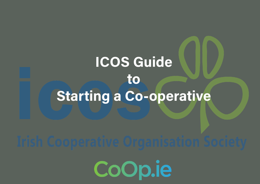## ICOS Guide to Starting a Co-operative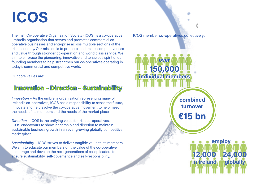### ICOS

The Irish Co-operative Organisation Society (ICOS) is a co-operative umbrella organisation that serves and promotes commercial cooperative businesses and enterprise across multiple sections of the Irish economy. Our mission is to promote leadership, competitiveness and value through stronger co-operation and world class service. We aim to embrace the pioneering, innovative and tenacious spirit of our founding members to help strengthen our co-operatives operating in today's commercial and competitive world.

Our core values are:

### Innovation – Direction – Sustainability

Innovation - As the umbrella organisation representing many of Ireland's co-operatives, ICOS has a responsibility to sense the future, innovate and help evolve the co-operative movement to help meet the needs of its members and the needs of the market place.

Direction – ICOS is the unifying voice for Irish co-operatives. ICOS endeavours to show leadership and direction to maintain sustainable business growth in an ever growing globally competitive marketplace.

Sustainability – ICOS strives to deliver tangible value to its members. We aim to educate our members on the value of the co-operative, encourage and develop the next generations of co-op leaders to ensure sustainability, self-governance and self-responsibility.

ICOS member co-operatives collectively: **over** 150,000 individual members combined turnover €15 bn employ 12,000 in **Ireland** 24,000 globally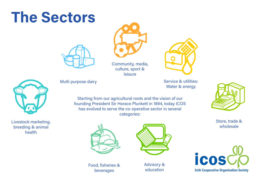## The Sectors





Community, media, culture, sport & leisure





Livestock marketing, breeding & animal health

Multi purpose dairy and the service & utilities:

Water & energy





Store, trade & wholesale



Food, fisheries & beverages



Advisory & education

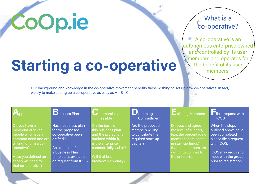# CoOp.ie

### What is a co-operative?

A co-operative is an autonomous enterprise owned and controlled by its user members and operates for the benefit of its user members.

# Starting a co-operative

Our background and knowledge in the co-operative movement benefits those wishing to set up new co-operatives. In fact, we try to make setting up a co-operative as easy as A - B - C.

| pproach               | <b>D</b> usiness Plan | <b>U</b> ommercially<br>Feasible | $\bigcup$ eterming<br>Committment | <b>Enlisting Members</b> | le a request with<br><b>ICOS</b> |
|-----------------------|-----------------------|----------------------------------|-----------------------------------|--------------------------|----------------------------------|
| Do you have a         | Has a business plan   | On the basis of                  | Are the proposed                  | Discuss and agree        | When the steps                   |
| minimum of seven      | for the proposed      | this business plan               | members willing                   | the level of support,    | outlined above have              |
| people who have a     | co-operative been     | and the projections              | to contribute the                 | (e.g. the percentage of  | been completed                   |
| common need and are   | drafted?              | outlined within it,              | required start-up                 | member share capital     | please file a request            |
| willing to form a co- |                       | is the enterprise                | capital?                          | in start-up funds)       | with ICOS.                       |
| operative?            | An example of         | commercially viable?             |                                   | that the members are     |                                  |
|                       | a Business Plan       |                                  |                                   | willing to commit to     | ICOS may require to              |
| Have you defined an   | template is available | Will it at least                 |                                   | the enterprise.          | meet with the group              |
| economic need for     | on request from ICOS. | breakeven annually?              |                                   |                          | prior to registration.           |
| that co-operative?    |                       |                                  |                                   |                          |                                  |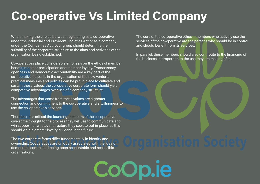### Co-operative Vs Limited Company

CoOp

When making the choice between registering as a co-operative under the Industrial and Provident Societies Act or as a company under the Companies Act, your group should determine the suitability of the corporate structure to the aims and activities of the organisation being established.

Co-operatives place considerable emphasis on the ethos of member benefit, member participation and member loyalty. Transparency, openness and democratic accountability are a key part of the co-operative ethos. If, in the organisation of the new venture, practical measures and policies can be put in place to cultivate and sustain these values, the co-operative corporate form should yield competitive advantages over use of a company structure.

The advantages that come from these values are a greater connection and commitment to the co-operative and a willingness to use the co-operative's services.

Therefore, it is critical the founding members of the co-operative give some thought to the process they will use to communicate and win support for whatever structure they seek to put in place, as this should yield a greater loyalty dividend in the future.

The two corporate forms differ fundamentally in identity and ownership. Cooperatives are uniquely associated with the idea of democratic control and being open accountable and accessible organisations.

The core of the co-operative ethos – members who actively use the services of the co-operative are the persons who should be in control and should benefit from its services.

In parallel, these members should also contribute to the financing of the business in proportion to the use they are making of it.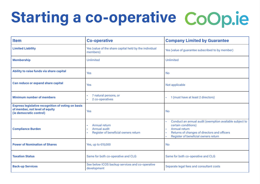# Starting a co-operative CoOp.ie

| <b>Item</b>                                                                                                            | <b>Co-operative</b>                                                         | <b>Company Limited by Guarantee</b>                                                                                                                                                            |  |
|------------------------------------------------------------------------------------------------------------------------|-----------------------------------------------------------------------------|------------------------------------------------------------------------------------------------------------------------------------------------------------------------------------------------|--|
| <b>Limited Liability</b>                                                                                               | Yes (value of the share capital held by the individual<br>members)          | Yes (value of guarantee subscribed to by member)                                                                                                                                               |  |
| <b>Membership</b>                                                                                                      | <b>Unlimited</b>                                                            | <b>Unlimited</b>                                                                                                                                                                               |  |
| Ability to raise funds via share capital                                                                               | <b>Yes</b>                                                                  | <b>No</b>                                                                                                                                                                                      |  |
| Can reduce or expand share capital                                                                                     | <b>Yes</b>                                                                  | Not applicable                                                                                                                                                                                 |  |
| <b>Minimum number of members</b>                                                                                       | 7 natural persons, or<br>×.<br>2 co-operatives                              | 1 (must have at least 2 directors)                                                                                                                                                             |  |
| <b>Express legislative recognition of voting on basis</b><br>of member, not level of equity<br>(ie democratic control) | <b>Yes</b>                                                                  | <b>No</b>                                                                                                                                                                                      |  |
| <b>Compliance Burden</b>                                                                                               | Annual return<br>Annual audit<br>×.<br>Register of beneficial owners return | Conduct an annual audit (exemption available subject to<br>certain conditions)<br><b>Annual return</b><br>Returns of changes of directors and officers<br>Register of beneficial owners return |  |
| <b>Power of Nomination of Shares</b>                                                                                   | Yes, up to €15,000                                                          | <b>No</b>                                                                                                                                                                                      |  |
| <b>Taxation Status</b>                                                                                                 | Same for both co-operative and CLG                                          | Same for both co-operative and CLG                                                                                                                                                             |  |
| <b>Back-up Services</b>                                                                                                | See below ICOS backup services and co-operative<br>development              | Separate legal fees and consultant costs                                                                                                                                                       |  |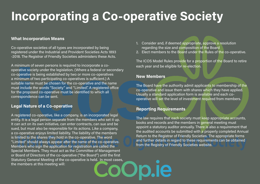### Incorporating a Co-operative Society

#### What Incorporation Means

Co-operative societies of all types are incorporated by being registered under the Industrial and Provident Societies Acts 1893 -2018. The Registrar of Friendly Societies administers these Acts.

A minimum of seven persons is required to incorporate a cooperative society under the legislation. (Where a federal or secondary co-operative is being established by two or more co-operatives a minimum of two participating co-operatives is sufficient.) A suitable name must be chosen for the co-operative and the name must include the words "Society" and "Limited". A registered office for the proposed co-operative must be identified to which all correspondence can be sent.

#### Legal Nature of a Co-operative

A registered co-operative, like a company, is an incorporated legal entity. It is a legal person separate from the members who set it up. It can act on its own initiative, can enter contracts, can sue and be sued, but must also be responsible for its actions. Like a company, a co-operative enjoys limited liability. The liability of the members is limited to the shares they hold in the co-operative. The word "Limited" should always appear after the name of the co-operative. Members who sign the application for registration are called the Special Members. They must act as the Committee of Management or Board of Directors of the co-operative ("the Board") until the first Statutory General Meeting of the co-operative is held. In most cases, the members at this meeting will:

- 1. Consider and, if deemed appropriate, approve a resolution regarding the size and composition of the Board
- 2. Elect members to the Board under the Rules of the co-operative.

The ICOS Model Rules provide for a proportion of the Board to retire each year and be eligible for re-election.

#### New Members

The Board have the authority admit applicants to membership of the co-operative and issue them with shares which they have applied. Usually a standard application form is available and each cooperative will set the level of investment required from members.

#### Reporting Requirements

The law requires that each society must keep appropriate accounts, books and records and the members in general meeting must appoint a statutory auditor annually. There is also a requirement that the audited accounts be submitted with a properly completed Annual Return to the Registrar of Friendly Societies. The appropriate forms and further details in regard to these requirements can be obtained from the Registry of Friendly Societies website.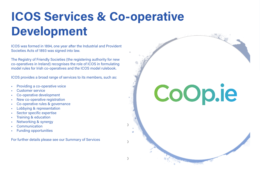### ICOS Services & Co-operative Development

ICOS was formed in 1894, one year after the Industrial and Provident Societies Acts of 1893 was signed into law.

The Registry of Friendly Societies (the registering authority for new co-operatives in Ireland) recognises the role of ICOS in formulating model rules for Irish co-operatives and the ICOS model rulebook.

ICOS provides a broad range of services to its members, such as:

- Providing a co-operative voice
- Customer service
- Co-operative development
- New co-operative registration
- Co-operative rules & governance
- Lobbying & representation
- Sector specific expertise
- Training & education
- Networking & synergy
- Communication
- Funding opportunities

For further details please see our Summary of Services